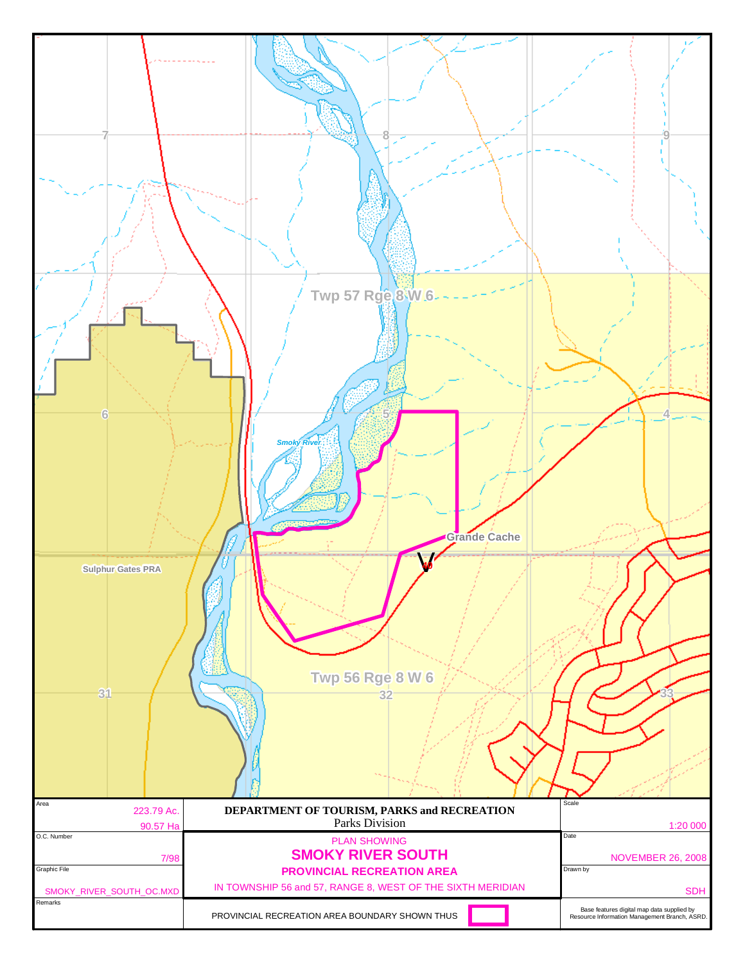